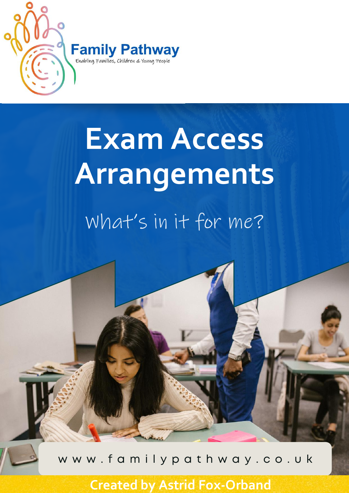

# What's in it for me? **Exam Access Arrangements**

w w w . f a m i l y p a t h w a y . c o . u k

**Created by Astrid Fox-Orband**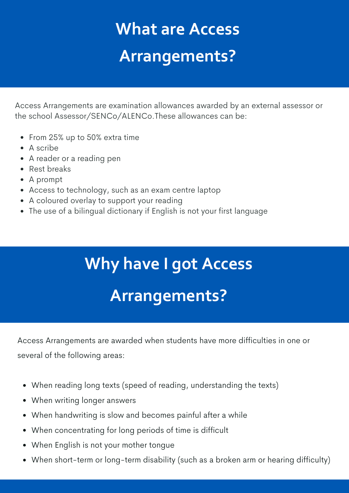## **What are Access Arrangements?**

Access Arrangements are examination allowances awarded by an external assessor or the school Assessor/SENCo/ALENCo.These allowances can be:

- From 25% up to 50% extra time
- A scribe
- A reader or a reading pen
- Rest breaks
- A prompt
- Access to technology, such as an exam centre laptop
- A coloured overlay to support your reading
- The use of a bilingual dictionary if English is not your first language

# **Why have I got Access Arrangements?**

Access Arrangements are awarded when students have more difficulties in one or several of the following areas:

- When reading long texts (speed of reading, understanding the texts)
- When writing longer answers
- When handwriting is slow and becomes painful after a while
- When concentrating for long periods of time is difficult
- When English is not your mother tongue
- When short-term or long-term disability (such as a broken arm or hearing difficulty)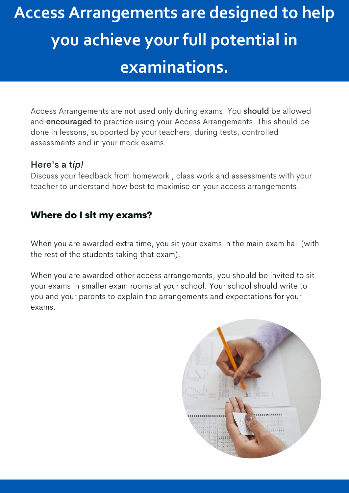# **Access Arrangements are designed to help you achieve your full potential in examinations.**

Access Arrangements are not used only during exams. You should be allowed and encouraged to practice using your Access Arrangements. This should be done in lessons, supported by your teachers, during tests, controlled assessments and in your mock exams.

#### Here's a t*ip!*

Discuss your feedback from homework , class work and assessments with your teacher to understand how best to maximise on your access arrangements.

#### Where do I sit my exams?

When you are awarded extra time, you sit your exams in the main exam hall (with the rest of the students taking that exam).

When you are awarded other access arrangements, you should be invited to sit your exams in smaller exam rooms at your school. Your school should write to you and your parents to explain the arrangements and expectations for your exams.

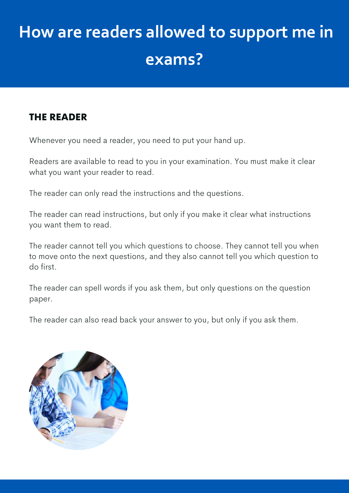# **How are readers allowed to support me in exams?**

#### THE READER

Whenever you need a reader, you need to put your hand up.

Readers are available to read to you in your examination. You must make it clear what you want your reader to read.

The reader can only read the instructions and the questions.

The reader can read instructions, but only if you make it clear what instructions you want them to read.

The reader cannot tell you which questions to choose. They cannot tell you when to move onto the next questions, and they also cannot tell you which question to do first.

The reader can spell words if you ask them, but only questions on the question paper.

The reader can also read back your answer to you, but only if you ask them.

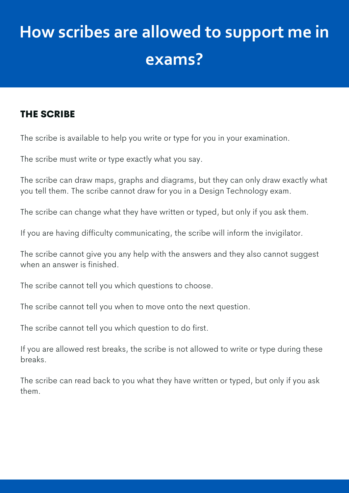# **How scribes are allowed to support me in exams?**

#### THE SCRIBE

The scribe is available to help you write or type for you in your examination.

The scribe must write or type exactly what you say.

The scribe can draw maps, graphs and diagrams, but they can only draw exactly what you tell them. The scribe cannot draw for you in a Design Technology exam.

The scribe can change what they have written or typed, but only if you ask them.

If you are having difficulty communicating, the scribe will inform the invigilator.

The scribe cannot give you any help with the answers and they also cannot suggest when an answer is finished.

The scribe cannot tell you which questions to choose.

The scribe cannot tell you when to move onto the next question.

The scribe cannot tell you which question to do first.

If you are allowed rest breaks, the scribe is not allowed to write or type during these breaks.

The scribe can read back to you what they have written or typed, but only if you ask them.